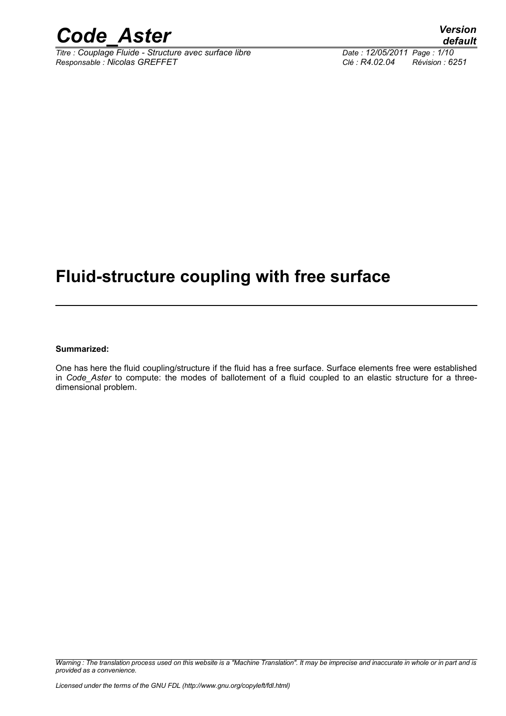

*Titre : Couplage Fluide - Structure avec surface libre Date : 12/05/2011 Page : 1/10 Responsable : Nicolas GREFFET Clé : R4.02.04 Révision : 6251*

### **Fluid-structure coupling with free surface**

#### **Summarized:**

One has here the fluid coupling/structure if the fluid has a free surface. Surface elements free were established in *Code\_Aster* to compute: the modes of ballotement of a fluid coupled to an elastic structure for a threedimensional problem.

*Warning : The translation process used on this website is a "Machine Translation". It may be imprecise and inaccurate in whole or in part and is provided as a convenience.*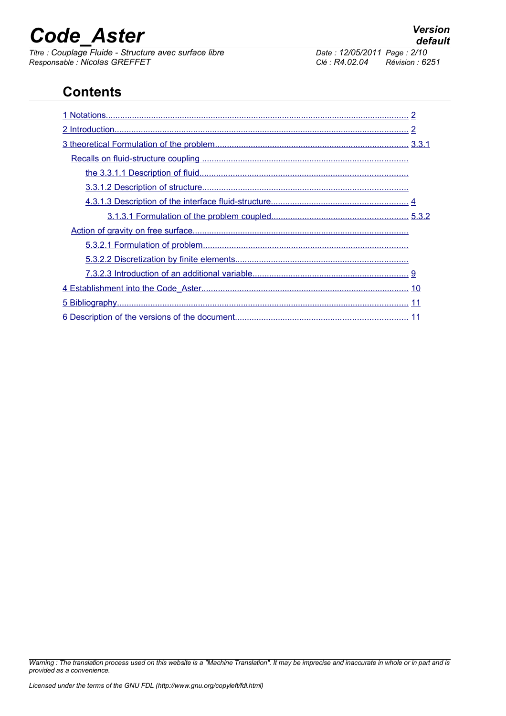*Titre : Couplage Fluide - Structure avec surface libre Date : 12/05/2011 Page : 2/10 Responsable : Nicolas GREFFET Clé : R4.02.04 Révision : 6251*

### **Contents**

*Warning : The translation process used on this website is a "Machine Translation". It may be imprecise and inaccurate in whole or in part and is provided as a convenience.*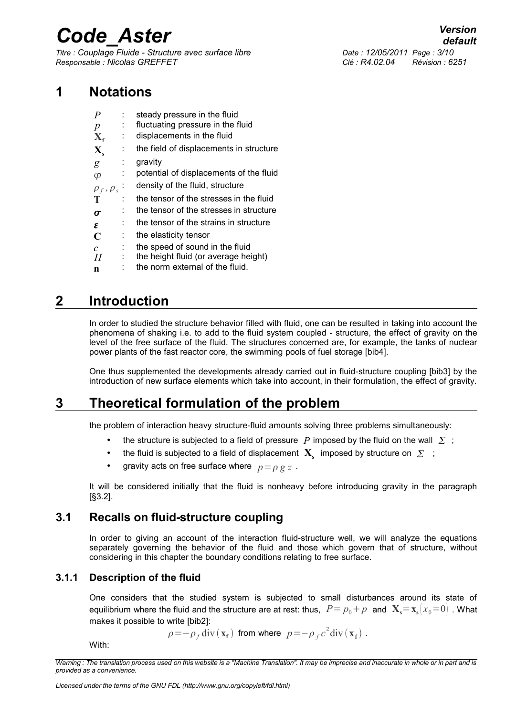*Titre : Couplage Fluide - Structure avec surface libre Date : 12/05/2011 Page : 3/10 Responsable : Nicolas GREFFET Clé : R4.02.04 Révision : 6251*

### **1 Notations**

<span id="page-2-0"></span>

| $\boldsymbol{P}$        |    | steady pressure in the fluid            |
|-------------------------|----|-----------------------------------------|
| $\boldsymbol{p}$        |    | fluctuating pressure in the fluid       |
| $X_{f}$                 |    | displacements in the fluid              |
| $\mathbf{X}_{\epsilon}$ |    | the field of displacements in structure |
| g                       | Î. | gravity                                 |
| Φ                       | ÷  | potential of displacements of the fluid |
| $\rho_f$ , $\rho_s$     |    | density of the fluid, structure         |
| Т                       |    | the tensor of the stresses in the fluid |
| $\sigma$                |    | the tensor of the stresses in structure |
| ε                       |    | the tensor of the strains in structure  |
| C                       | ÷  | the elasticity tensor                   |
| $\mathcal{C}$           | ÷  | the speed of sound in the fluid         |
| H                       | ÷  | the height fluid (or average height)    |
| n                       |    | the norm external of the fluid.         |

### **2 Introduction**

<span id="page-2-4"></span>In order to studied the structure behavior filled with fluid, one can be resulted in taking into account the phenomena of shaking i.e. to add to the fluid system coupled - structure, the effect of gravity on the level of the free surface of the fluid. The structures concerned are, for example, the tanks of nuclear power plants of the fast reactor core, the swimming pools of fuel storage [bib4].

One thus supplemented the developments already carried out in fluid-structure coupling [bib3] by the introduction of new surface elements which take into account, in their formulation, the effect of gravity.

### **3 Theoretical formulation of the problem**

<span id="page-2-3"></span>the problem of interaction heavy structure-fluid amounts solving three problems simultaneously:

- the structure is subjected to a field of pressure  $P$  imposed by the fluid on the wall  $\sum$ ;
- the fluid is subjected to a field of displacement  $\mathbf{X}_{\mathbf{s}}$  imposed by structure on  $\Sigma$ ;
- gravity acts on free surface where  $p = \rho g z$ .

It will be considered initially that the fluid is nonheavy before introducing gravity in the paragraph [§3.2].

#### **3.1 Recalls on fluid-structure coupling**

<span id="page-2-2"></span>In order to giving an account of the interaction fluid-structure well, we will analyze the equations separately governing the behavior of the fluid and those which govern that of structure, without considering in this chapter the boundary conditions relating to free surface.

#### **3.1.1 Description of the fluid**

<span id="page-2-1"></span>One considers that the studied system is subjected to small disturbances around its state of equilibrium where the fluid and the structure are at rest: thus,  $P = p_0 + p$  and  $\mathbf{X}_s = \mathbf{x}_s \mid x_0 = 0$ . What makes it possible to write [bib2]:

 $\rho = -\rho_f \text{div}(\mathbf{x_f})$  from where  $p = -\rho_f c^2 \text{div}(\mathbf{x_f})$ .

With:

*Warning : The translation process used on this website is a "Machine Translation". It may be imprecise and inaccurate in whole or in part and is provided as a convenience.*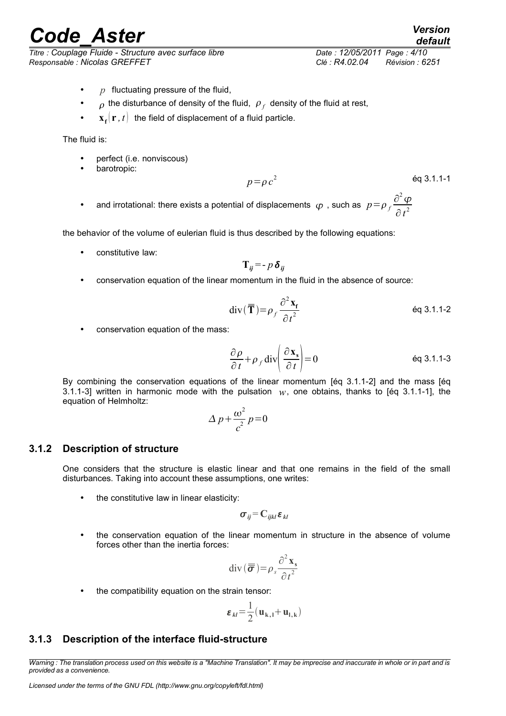*Titre : Couplage Fluide - Structure avec surface libre Date : 12/05/2011 Page : 4/10 Responsable : Nicolas GREFFET Clé : R4.02.04 Révision : 6251*

- *p* fluctuating pressure of the fluid,
- $\sigma$  the disturbance of density of the fluid,  $\rho_f$  density of the fluid at rest,
- $\mathbf{x}_f(\mathbf{r},t)$  the field of displacement of a fluid particle.

The fluid is:

- perfect (i.e. nonviscous)
- barotropic:

$$
p = \rho c^2
$$

• and irrotational: there exists a potential of displacements  $\varphi$ , such as  $p = \rho \frac{\partial^2 \varphi}{\partial x^2}$  $\partial t^2$ 

the behavior of the volume of eulerian fluid is thus described by the following equations:

constitutive law:

$$
\mathbf{T}_{ij} = -p \, \boldsymbol{\delta}_{ij}
$$

• conservation equation of the linear momentum in the fluid in the absence of source:

$$
\operatorname{div}(\overline{\overline{\mathbf{T}}}) = \rho_f \frac{\partial^2 \mathbf{x_f}}{\partial t^2}
$$
 \t\t\neq 3.1.1-2

conservation equation of the mass:

$$
\frac{\partial \rho}{\partial t} + \rho_f \operatorname{div} \left( \frac{\partial \mathbf{x}_s}{\partial t} \right) = 0
$$
 \t\t\t\neq 3.1.1-3

By combining the conservation equations of the linear momentum [éq 3.1.1-2] and the mass [éq 3.1.1-3] written in harmonic mode with the pulsation  $w$ , one obtains, thanks to [éq 3.1.1-1], the equation of Helmholtz:

$$
\Delta p + \frac{\omega^2}{c^2} p = 0
$$

#### **3.1.2 Description of structure**

<span id="page-3-1"></span>One considers that the structure is elastic linear and that one remains in the field of the small disturbances. Taking into account these assumptions, one writes:

the constitutive law in linear elasticity:

$$
\sigma_{ij} = C_{ijkl} \varepsilon_{kl}
$$

• the conservation equation of the linear momentum in structure in the absence of volume forces other than the inertia forces:

$$
\operatorname{div}(\boldsymbol{\overline{\sigma}}) = \rho_s \frac{\partial^2 \mathbf{x}_s}{\partial t^2}
$$

the compatibility equation on the strain tensor:

$$
\varepsilon_{kl} = \frac{1}{2} (\mathbf{u}_{k,l} + \mathbf{u}_{l,k})
$$

#### <span id="page-3-0"></span>**3.1.3 Description of the interface fluid-structure**

2 éq 3.1.1-1

*Warning : The translation process used on this website is a "Machine Translation". It may be imprecise and inaccurate in whole or in part and is provided as a convenience.*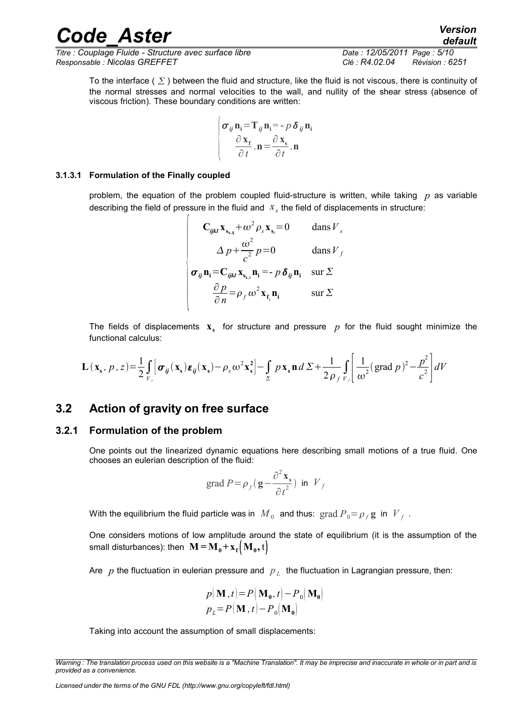*Titre : Couplage Fluide - Structure avec surface libre Date : 12/05/2011 Page : 5/10 Responsable : Nicolas GREFFET Clé : R4.02.04 Révision : 6251*

To the interface ( $\Sigma$ ) between the fluid and structure, like the fluid is not viscous, there is continuity of the normal stresses and normal velocities to the wall, and nullity of the shear stress (absence of viscous friction). These boundary conditions are written:

$$
\begin{vmatrix} \sigma_{ij} \mathbf{n}_i = \mathbf{T}_{ij} \mathbf{n}_i = -p \, \delta_{ij} \mathbf{n}_i \\ \frac{\partial \mathbf{x}_f}{\partial t} . \mathbf{n} = \frac{\partial \mathbf{x}_s}{\partial t} . \mathbf{n}
$$

#### **3.1.3.1 Formulation of the Finally coupled**

<span id="page-4-2"></span>problem, the equation of the problem coupled fluid-structure is written, while taking *p* as variable describing the field of pressure in the fluid and  $\|x_{s}\|$  the field of displacements in structure:

$$
\begin{vmatrix}\n\mathbf{C}_{ijkl}\mathbf{x}_{\mathbf{s}_{k,ij}} + \omega^2 \rho_s \mathbf{x}_{\mathbf{s}_i} = 0 & \text{dans } V_s \\
\Delta p + \frac{\omega^2}{c^2} p = 0 & \text{dans } V_f \\
\sigma_{ij}\mathbf{n}_i = \mathbf{C}_{ijkl}\mathbf{x}_{\mathbf{s}_{k,i}}\mathbf{n}_i = -p \delta_{ij}\mathbf{n}_i & \text{sur } \Sigma \\
\frac{\partial p}{\partial n} = \rho_f \omega^2 \mathbf{x}_{\mathbf{f}_i}\mathbf{n}_i & \text{sur } \Sigma\n\end{vmatrix}
$$

The fields of displacements  $\mathbf{x}_s$  for structure and pressure  $p$  for the fluid sought minimize the functional calculus:

$$
\mathbf{L}(\mathbf{x}_{s}, p, z) = \frac{1}{2} \int_{V_{s}} \left[ \boldsymbol{\sigma}_{ij}(\mathbf{x}_{s}) \boldsymbol{\varepsilon}_{ij}(\mathbf{x}_{s}) - \rho_{s} \omega^{2} \mathbf{x}_{s}^{2} \right] - \int_{\Sigma} p \mathbf{x}_{s} \mathbf{n} d \Sigma + \frac{1}{2 \rho_{f} V_{f}} \int_{V_{f}} \left| \frac{1}{\omega^{2}} (\text{grad } p)^{2} - \frac{p^{2}}{c^{2}} \right| dV
$$

#### <span id="page-4-1"></span>**3.2 Action of gravity on free surface**

#### **3.2.1 Formulation of the problem**

<span id="page-4-0"></span>One points out the linearized dynamic equations here describing small motions of a true fluid. One chooses an eulerian description of the fluid:

$$
\operatorname{grad} P = \rho_f \left( \mathbf{g} - \frac{\partial^2 \mathbf{x}_s}{\partial t^2} \right) \text{ in } V_f
$$

With the equilibrium the fluid particle was in  $\overline{M}_0$  and thus:  $\operatorname{grad} P_0{=}\rho_f{\bf g}$  in  $\overline{V}_f$  .

One considers motions of low amplitude around the state of equilibrium (it is the assumption of the small disturbances): then  $\mathbf{M} = \mathbf{M_0} + \mathbf{x_f} (\mathbf{M_0}, \mathbf{t})$ 

Are  $|p|$  the fluctuation in eulerian pressure and  $|p|_L$  the fluctuation in Lagrangian pressure, then:

$$
p(\mathbf{M}, t) = P(\mathbf{M}_0, t) - P_0(\mathbf{M}_0)
$$
  

$$
p_L = P(\mathbf{M}, t) - P_0(\mathbf{M}_0)
$$

Taking into account the assumption of small displacements:

*Warning : The translation process used on this website is a "Machine Translation". It may be imprecise and inaccurate in whole or in part and is provided as a convenience.*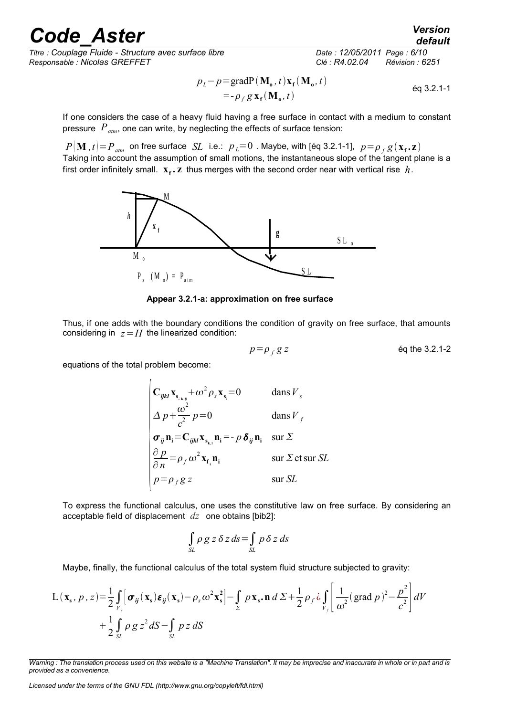*Titre : Couplage Fluide - Structure avec surface libre Date : 12/05/2011 Page : 6/10 Responsable : Nicolas GREFFET Clé : R4.02.04 Révision : 6251*

$$
p_L - p = \text{grad}P(\mathbf{M}_0, t)\mathbf{x}_f(\mathbf{M}_0, t)
$$
  
= -\rho\_f g \mathbf{x}\_f(\mathbf{M}\_0, t) \t\t eq 3.2.1-1

If one considers the case of a heavy fluid having a free surface in contact with a medium to constant pressure *Patm*, one can write, by neglecting the effects of surface tension:

 $P(\mathbf{M}$  , $t)$   $=$   $P_{\mathit{atm}}$   $}$  on free surface  $\mathit{SL}$  i.e.:  $p_{\mathit{L}}$   $=$   $0$  . Maybe, with [éq 3.2.1-1],  $\mathit{p}$   $=$   $\rho_{\mathit{f}}$   $g$   $(\mathbf{x_{f}}$   $,$   $\mathbf{z})$ Taking into account the assumption of small motions, the instantaneous slope of the tangent plane is a first order infinitely small.  $\mathbf{x_f}$ **.**  $\mathbf{z}$  thus merges with the second order near with vertical rise  $h$ .



**Appear 3.2.1-a: approximation on free surface**

Thus, if one adds with the boundary conditions the condition of gravity on free surface, that amounts considering in  $z = H$  the linearized condition:

$$
p = \rho_f g z
$$
 eq the 3.2.1-2

equations of the total problem become:

$$
\begin{vmatrix}\n\mathbf{C}_{ijkl}\mathbf{x}_{\mathbf{s}_{ik,j}} + \omega^2 \rho_s \mathbf{x}_{\mathbf{s}_i} = 0 & \text{dans } V_s \\
\Delta p + \frac{\omega^2}{c^2} p = 0 & \text{dans } V_f \\
\sigma_{ij}\mathbf{n}_i = \mathbf{C}_{ijkl}\mathbf{x}_{\mathbf{s}_{ki}}\mathbf{n}_i = -p \delta_{ij}\mathbf{n}_i & \text{sur } \Sigma \\
\frac{\partial p}{\partial n} = \rho_f \omega^2 \mathbf{x}_{\mathbf{f}_i}\mathbf{n}_i & \text{sur } \Sigma \text{ et sur } SL \\
p = \rho_f g z & \text{sur } SL\n\end{vmatrix}
$$

To express the functional calculus, one uses the constitutive law on free surface. By considering an acceptable field of displacement *dz* one obtains [bib2]:

$$
\int_{SL} \rho g \, z \, \delta z \, ds = \int_{SL} p \, \delta z \, ds
$$

Maybe, finally, the functional calculus of the total system fluid structure subjected to gravity:

$$
L(\mathbf{x}_s, p, z) = \frac{1}{2} \int_{V_s} \left[ \boldsymbol{\sigma}_{ij}(\mathbf{x}_s) \boldsymbol{\varepsilon}_{ij}(\mathbf{x}_s) - \rho_s \omega^2 \mathbf{x}_s^2 \right] - \int_{\Sigma} p \mathbf{x}_s \cdot \mathbf{n} \, d \Sigma + \frac{1}{2} \rho_f \omega \int_{V_f} \left[ \frac{1}{\omega^2} (\text{grad } p)^2 - \frac{p^2}{c^2} \right] dV
$$
  
+  $\frac{1}{2} \int_{SL} \rho g z^2 dS - \int_{SL} p z dS$ 

*default*

*Warning : The translation process used on this website is a "Machine Translation". It may be imprecise and inaccurate in whole or in part and is provided as a convenience.*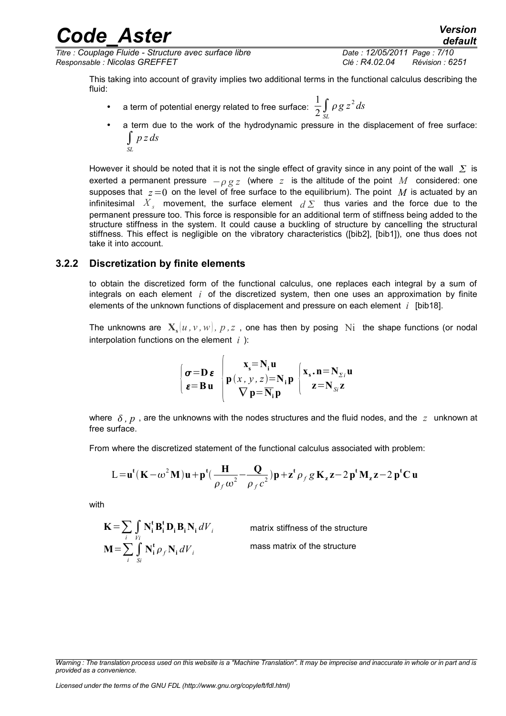*Titre : Couplage Fluide - Structure avec surface libre Date : 12/05/2011 Page : 7/10 Responsable : Nicolas GREFFET Clé : R4.02.04 Révision : 6251*

This taking into account of gravity implies two additional terms in the functional calculus describing the fluid:

- a term of potential energy related to free surface: 1  $rac{1}{2}$  $\int_{SL}$  $\rho g z^2 ds$
- a term due to the work of the hydrodynamic pressure in the displacement of free surface: ∫ *p z ds SL*

However it should be noted that it is not the single effect of gravity since in any point of the wall  $\Sigma$  is exerted a permanent pressure  $-\rho g z$  (where z is the altitude of the point M considered: one supposes that  $z=0$  on the level of free surface to the equilibrium). The point M is actuated by an infinitesimal  $X_s$  movement, the surface element  $d\,\Sigma$  thus varies and the force due to the permanent pressure too. This force is responsible for an additional term of stiffness being added to the structure stiffness in the system. It could cause a buckling of structure by cancelling the structural stiffness. This effect is negligible on the vibratory characteristics ([bib2], [bib1]), one thus does not take it into account.

#### **3.2.2 Discretization by finite elements**

<span id="page-6-0"></span>to obtain the discretized form of the functional calculus, one replaces each integral by a sum of integrals on each element *i* of the discretized system, then one uses an approximation by finite elements of the unknown functions of displacement and pressure on each element *i* [bib18].

The unknowns are  $\mathbf{X}_{\mathbf{s}}[u,v,w],$   $p$  , $z$  , one has then by posing  $\mathrm{Ni}\;$  the shape functions (or nodal interpolation functions on the element *i* ):

$$
\begin{cases}\n\sigma = D \varepsilon \\
\varepsilon = B u\n\end{cases}\n\begin{cases}\nx_s = N_i u \\
p(x, y, z) = N_i p \\
\nabla p = \overline{N_i} p\n\end{cases}\n\begin{cases}\nx_s \cdot n = N_{\Sigma i} u \\
z = N_{\Sigma i} z\n\end{cases}
$$

where  $\delta$ ,  $p$ , are the unknowns with the nodes structures and the fluid nodes, and the  $z$  unknown at free surface.

From where the discretized statement of the functional calculus associated with problem:

$$
L = u^{t}(K - \omega^{2}M)u + p^{t}(\frac{H}{\rho_{f}\omega^{2}} - \frac{Q}{\rho_{f}c^{2}})p + z^{t}\rho_{f}gK_{z}z - 2p^{t}M_{z}z - 2p^{t}C u
$$

with

$$
\mathbf{K} = \sum_{i} \int_{V_i} \mathbf{N}_i^t \mathbf{B}_i^t \mathbf{D}_i \mathbf{B}_i \mathbf{N}_i dV_i
$$

$$
\mathbf{M} = \sum_{i} \int_{S_i} \mathbf{N}_i^t \rho_f \mathbf{N}_i dV_i
$$

matrix stiffness of the structure

mass matrix of the structure

*Warning : The translation process used on this website is a "Machine Translation". It may be imprecise and inaccurate in whole or in part and is provided as a convenience.*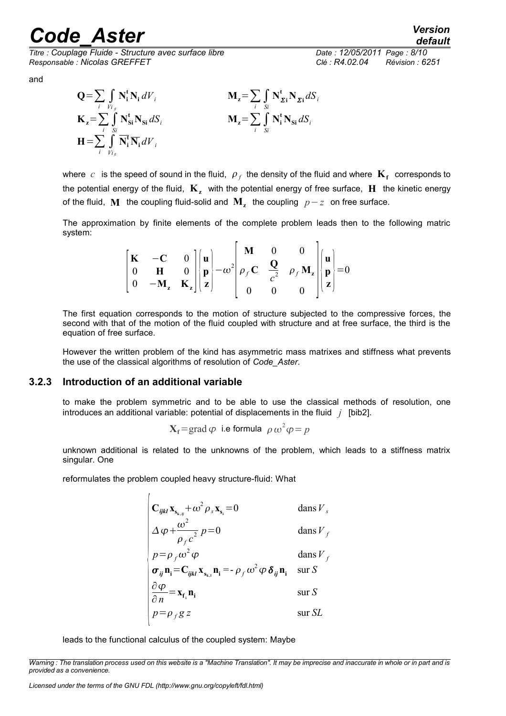*Titre : Couplage Fluide - Structure avec surface libre Date : 12/05/2011 Page : 8/10 Responsable : Nicolas GREFFET Clé : R4.02.04 Révision : 6251*

*default*

and



where  $|c|$  is the speed of sound in the fluid,  $|\rho_{f}|$  the density of the fluid and where  $\mathbf{K_{f}}$  corresponds to the potential energy of the fluid,  $\mathbf{K}_{\mathbf{z}}$  with the potential energy of free surface,  $\mathbf{H}$  the kinetic energy of the fluid,  $\bf{M}$  the coupling fluid-solid and  $\bf{M}_z$  the coupling  $\it{p-z}\,$  on free surface.

The approximation by finite elements of the complete problem leads then to the following matric system:

|  |  |  | $\begin{bmatrix} \mathbf{K} & -\mathbf{C} & 0 \\ 0 & \mathbf{H} & 0 \\ 0 & -\mathbf{M}_{z} & \mathbf{K}_{z} \end{bmatrix} \begin{bmatrix} \mathbf{u} \\ \mathbf{p} \\ \mathbf{z} \end{bmatrix} - \omega^{2} \begin{bmatrix} \mathbf{M} & 0 & 0 \\ \rho_{f} \mathbf{C} & \frac{\mathbf{Q}}{c^{2}} & \rho_{f} \mathbf{M}_{z} \\ 0 & 0 & 0 \end{bmatrix} \begin{bmatrix} \mathbf{u} \\ \mathbf{p} \\ \mathbf{z} \end{bmatrix} = 0$ |  |
|--|--|--|---------------------------------------------------------------------------------------------------------------------------------------------------------------------------------------------------------------------------------------------------------------------------------------------------------------------------------------------------------------------------------------------------------------------------------|--|
|  |  |  |                                                                                                                                                                                                                                                                                                                                                                                                                                 |  |

The first equation corresponds to the motion of structure subjected to the compressive forces, the second with that of the motion of the fluid coupled with structure and at free surface, the third is the equation of free surface.

However the written problem of the kind has asymmetric mass matrixes and stiffness what prevents the use of the classical algorithms of resolution of *Code\_Aster*.

#### **3.2.3 Introduction of an additional variable**

<span id="page-7-0"></span>to make the problem symmetric and to be able to use the classical methods of resolution, one introduces an additional variable: potential of displacements in the fluid *j* [bib2].

$$
X_f = \text{grad }\varphi
$$
 i.e formula  $\rho \omega^2 \varphi = p$ 

unknown additional is related to the unknowns of the problem, which leads to a stiffness matrix singular. One

reformulates the problem coupled heavy structure-fluid: What

 $\overline{ }$ 

$$
\begin{vmatrix}\n\mathbf{C}_{ijkl}\mathbf{x}_{\mathbf{s}_{k,j}} + \omega^2 \rho_s \mathbf{x}_{\mathbf{s}_i} = 0 & \text{dans } V_s \\
\Delta \varphi + \frac{\omega^2}{\rho_f c^2} p = 0 & \text{dans } V_f \\
p = \rho_f \omega^2 \varphi & \text{dans } V_f \\
\sigma_{ij} \mathbf{n}_i = \mathbf{C}_{ijkl} \mathbf{x}_{\mathbf{s}_{k,i}} \mathbf{n}_i = -\rho_f \omega^2 \varphi \delta_{ij} \mathbf{n}_i & \text{sur } S \\
\frac{\partial \varphi}{\partial n} = \mathbf{x}_{\mathbf{f}_i} \mathbf{n}_i & \text{sur } S \\
p = \rho_f g z & \text{sur } SL\n\end{vmatrix}
$$

leads to the functional calculus of the coupled system: Maybe

*Warning : The translation process used on this website is a "Machine Translation". It may be imprecise and inaccurate in whole or in part and is provided as a convenience.*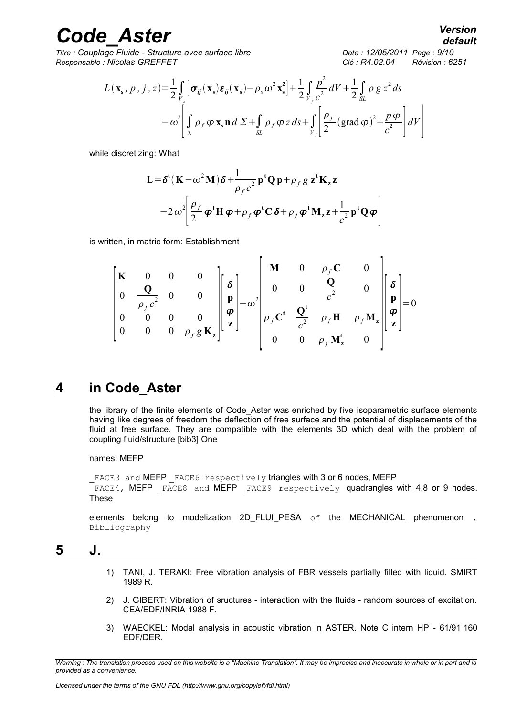*Titre : Couplage Fluide - Structure avec surface libre Date : 12/05/2011 Page : 9/10 Responsable : Nicolas GREFFET Clé : R4.02.04 Révision : 6251*

$$
L(\mathbf{x}_{s}, p, j, z) = \frac{1}{2} \int_{V_{s}} \left[ \sigma_{ij}(\mathbf{x}_{s}) \varepsilon_{ij}(\mathbf{x}_{s}) - \rho_{s} \omega^{2} \mathbf{x}_{s}^{2} \right] + \frac{1}{2} \int_{V_{f}} \frac{p^{2}}{c^{2}} dV + \frac{1}{2} \int_{SL} \rho g g^{2} ds
$$

$$
- \omega^{2} \left[ \int_{\Sigma} \rho_{f} \varphi \mathbf{x}_{s} \mathbf{n} d \Sigma + \int_{SL} \rho_{f} \varphi g g + \int_{V_{f}} \left[ \frac{\rho_{f}}{2} (\text{grad } \varphi)^{2} + \frac{p \varphi}{c^{2}} \right] dV \right]
$$

while discretizing: What

$$
L = \delta^{t}(\mathbf{K} - \omega^{2}\mathbf{M})\delta + \frac{1}{\rho_{f}c^{2}} \mathbf{p}^{t} \mathbf{Q} \mathbf{p} + \rho_{f} g \mathbf{z}^{t} \mathbf{K}_{z} \mathbf{z}
$$

$$
-2 \omega^{2} \left[ \frac{\rho_{f}}{2} \boldsymbol{\varphi}^{t} \mathbf{H} \boldsymbol{\varphi} + \rho_{f} \boldsymbol{\varphi}^{t} \mathbf{C} \delta + \rho_{f} \boldsymbol{\varphi}^{t} \mathbf{M}_{z} \mathbf{z} + \frac{1}{c^{2}} \mathbf{p}^{t} \mathbf{Q} \boldsymbol{\varphi} \right]
$$

is written, in matric form: Establishment

$$
\begin{bmatrix}\n\mathbf{K} & 0 & 0 & 0 & 0 \\
0 & \frac{\mathbf{Q}}{\rho_f c^2} & 0 & 0 & \mathbf{p} \\
0 & 0 & 0 & 0 & 0 & \mathbf{p} \\
0 & 0 & 0 & \rho_f g \mathbf{K}_z\n\end{bmatrix}\n\begin{bmatrix}\n\mathbf{M} & 0 & \rho_f \mathbf{C} & 0 \\
0 & 0 & \frac{\mathbf{Q}}{c^2} & 0 \\
\rho_f \mathbf{C}^t & \frac{\mathbf{Q}^t}{c^2} & \rho_f \mathbf{H} & \rho_f \mathbf{M}_z \\
0 & 0 & \rho_f \mathbf{M}_z^t & 0\n\end{bmatrix}\n\begin{bmatrix}\n\mathbf{\delta} \\
\mathbf{p} \\
\mathbf{p} \\
\mathbf{z}\n\end{bmatrix} = 0
$$

### **4 in Code\_Aster**

<span id="page-8-1"></span>the library of the finite elements of Code\_Aster was enriched by five isoparametric surface elements having like degrees of freedom the deflection of free surface and the potential of displacements of the fluid at free surface. They are compatible with the elements 3D which deal with the problem of coupling fluid/structure [bib3] One

names: MEFP

```
_FACE3 and MEFP _FACE6 respectively triangles with 3 or 6 nodes, MEFP
\overline{F}ACE4, MEFP \overline{F}ACE8 and MEFP FACE9 respectively quadrangles with 4,8 or 9 nodes.
These
```
<span id="page-8-0"></span>elements belong to modelization 2D FLUI PESA  $\circ$ f the MECHANICAL phenomenon . Bibliography

### **5 J.**

- 1) TANI, J. TERAKI: Free vibration analysis of FBR vessels partially filled with liquid. SMIRT 1989 R.
- 2) J. GIBERT: Vibration of sructures interaction with the fluids random sources of excitation. CEA/EDF/INRIA 1988 F.
- 3) WAECKEL: Modal analysis in acoustic vibration in ASTER. Note C intern HP 61/91 160 EDF/DER.

*Warning : The translation process used on this website is a "Machine Translation". It may be imprecise and inaccurate in whole or in part and is provided as a convenience.*